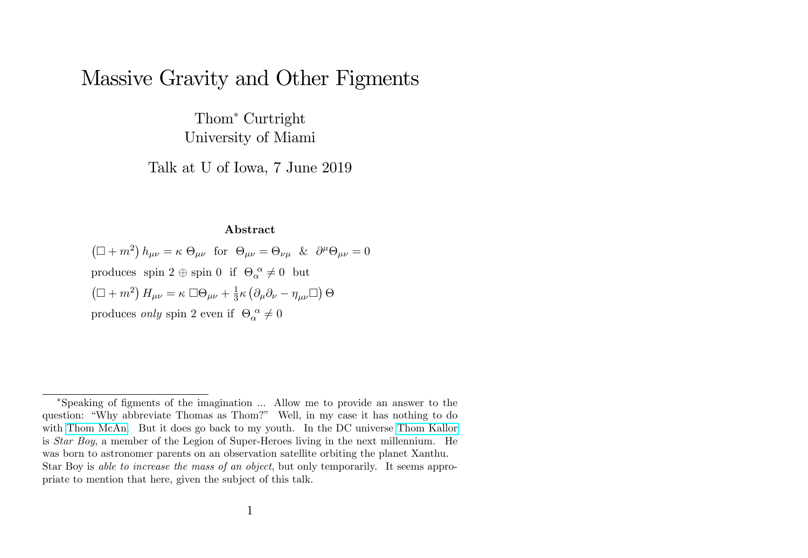# Massive Gravity and Other Figments

Thom<sup>\*</sup> Curtright University of Miami

Talk at U of Iowa, 7 June 2019

#### Abstract

 $(\Box + m^2) h_{\mu\nu} = \kappa \Theta_{\mu\nu}$  for  $\Theta_{\mu\nu} = \Theta_{\nu\mu}$  &  $\partial^{\mu}\Theta_{\mu\nu} = 0$ produces spin  $2 \oplus \text{spin } 0$  if  $\Theta_{\alpha}^{\alpha} \neq 0$  but  $\left(\Box + m^2\right) H_{\mu\nu} = \kappa \ \Box \Theta_{\mu\nu} + \frac{1}{3}$  $\frac{1}{3}\kappa\left(\partial_{\mu}\partial_{\nu}-\eta_{\mu\nu}\Box\right)\Theta$ produces *only* spin 2 even if  $\Theta_{\alpha}^{\ \alpha} \neq 0$ 

Speaking of Ögments of the imagination ... Allow me to provide an answer to the question: "Why abbreviate Thomas as Thom?" Well, in my case it has nothing to do with [Thom McAn.](https://pdsh.fandom.com/wiki/Thom_McAn) But it does go back to my youth. In the DC universe [Thom Kallor](https://en.wikipedia.org/wiki/Thom_Kallor) is Star Boy, a member of the Legion of Super-Heroes living in the next millennium. He was born to astronomer parents on an observation satellite orbiting the planet Xanthu. Star Boy is able to increase the mass of an object, but only temporarily. It seems appropriate to mention that here, given the subject of this talk.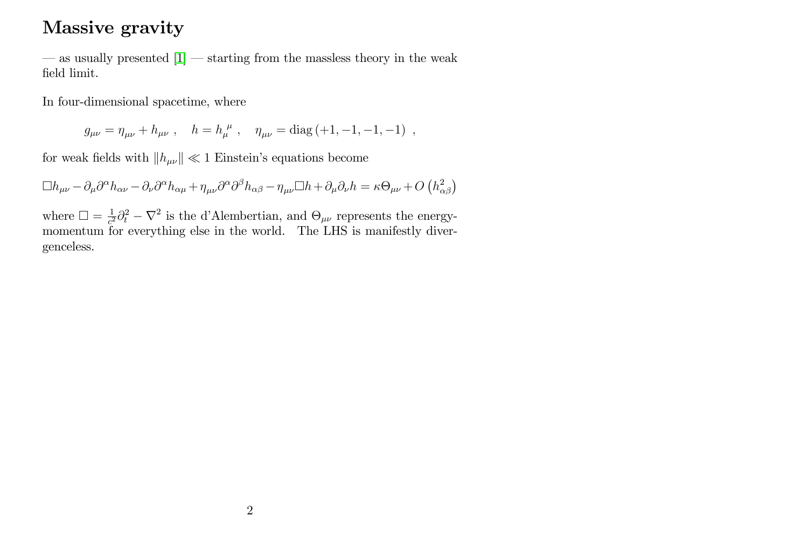## Massive gravity

 $\sim$  as usually presented  $[1]$   $\sim$  starting from the massless theory in the weak field limit.

In four-dimensional spacetime, where

 $g_{\mu\nu} = \eta_{\mu\nu} + h_{\mu\nu}$ ,  $h = h_{\mu}^{\ \mu}$ ,  $\eta_{\mu\nu} = \text{diag}(-1, -1, -1, -1)$ ,

for weak fields with  $\|h_{\mu\nu}\|\ll 1$  Einstein's equations become

 $\Box h_{\mu\nu} - \partial_{\mu}\partial^{\alpha}h_{\alpha\nu} - \partial_{\nu}\partial^{\alpha}h_{\alpha\mu} + \eta_{\mu\nu}\partial^{\alpha}\partial^{\beta}h_{\alpha\beta} - \eta_{\mu\nu}\Box h + \partial_{\mu}\partial_{\nu}h = \kappa\Theta_{\mu\nu} + O\left(h_{\alpha\beta}^2\right)$ 

where  $\Box = \frac{1}{c^2}$  $\frac{1}{c^2}\partial_t^2 - \nabla^2$  is the d'Alembertian, and  $\Theta_{\mu\nu}$  represents the energymomentum for everything else in the world. The LHS is manifestly divergenceless.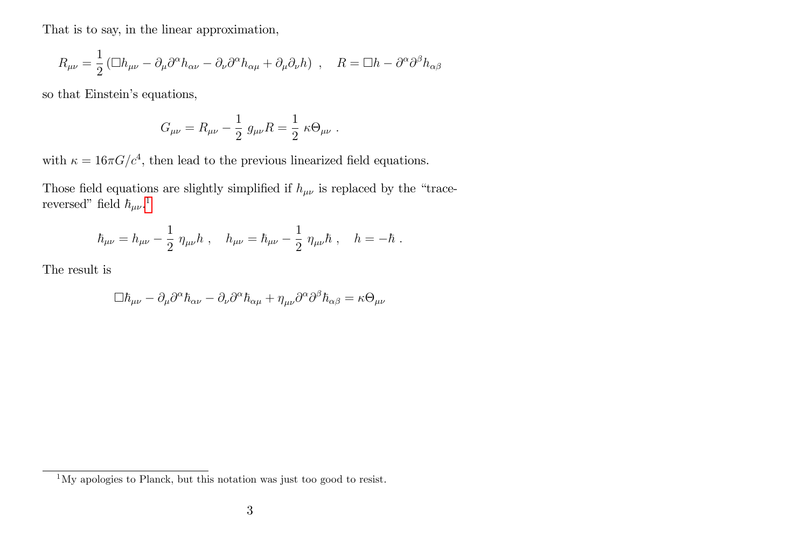That is to say, in the linear approximation,

$$
R_{\mu\nu} = \frac{1}{2} \left( \Box h_{\mu\nu} - \partial_{\mu} \partial^{\alpha} h_{\alpha\nu} - \partial_{\nu} \partial^{\alpha} h_{\alpha\mu} + \partial_{\mu} \partial_{\nu} h \right) , \quad R = \Box h - \partial^{\alpha} \partial^{\beta} h_{\alpha\beta}
$$

so that Einstein's equations,

$$
G_{\mu\nu} = R_{\mu\nu} - \frac{1}{2} g_{\mu\nu} R = \frac{1}{2} \kappa \Theta_{\mu\nu} .
$$

with  $\kappa = 16\pi G/c^4$ , then lead to the previous linearized field equations.

Those field equations are slightly simplified if  $h_{\mu\nu}$  is replaced by the "tracereversed" field  $\hbar_{\mu\nu}$ .<sup>[1](#page-2-0)</sup>

$$
\hbar_{\mu\nu} = h_{\mu\nu} - \frac{1}{2} \; \eta_{\mu\nu} h \; , \quad h_{\mu\nu} = \hbar_{\mu\nu} - \frac{1}{2} \; \eta_{\mu\nu} h \; , \quad h = -\hbar \; .
$$

The result is

$$
\Box \hbar_{\mu\nu} - \partial_{\mu}\partial^{\alpha}\hbar_{\alpha\nu} - \partial_{\nu}\partial^{\alpha}\hbar_{\alpha\mu} + \eta_{\mu\nu}\partial^{\alpha}\partial^{\beta}\hbar_{\alpha\beta} = \kappa \Theta_{\mu\nu}
$$

<span id="page-2-0"></span><sup>1</sup>My apologies to Planck, but this notation was just too good to resist.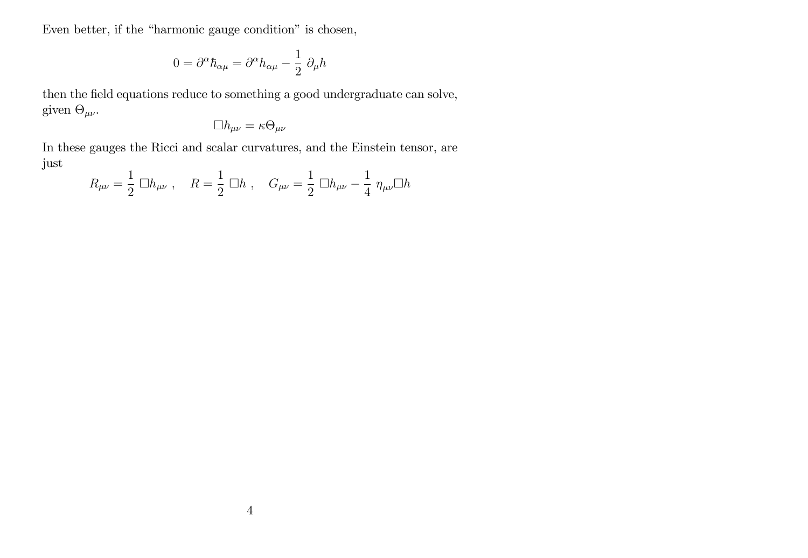Even better, if the "harmonic gauge condition" is chosen,

$$
0 = \partial^{\alpha} \hbar_{\alpha\mu} = \partial^{\alpha} h_{\alpha\mu} - \frac{1}{2} \partial_{\mu} h
$$

then the field equations reduce to something a good undergraduate can solve, given  $\Theta_{\mu\nu}$ .

$$
\Box \hbar_{\mu\nu}=\kappa\Theta_{\mu\nu}
$$

In these gauges the Ricci and scalar curvatures, and the Einstein tensor, are just

$$
R_{\mu\nu} = \frac{1}{2} \Box h_{\mu\nu} , \quad R = \frac{1}{2} \Box h , \quad G_{\mu\nu} = \frac{1}{2} \Box h_{\mu\nu} - \frac{1}{4} \eta_{\mu\nu} \Box h
$$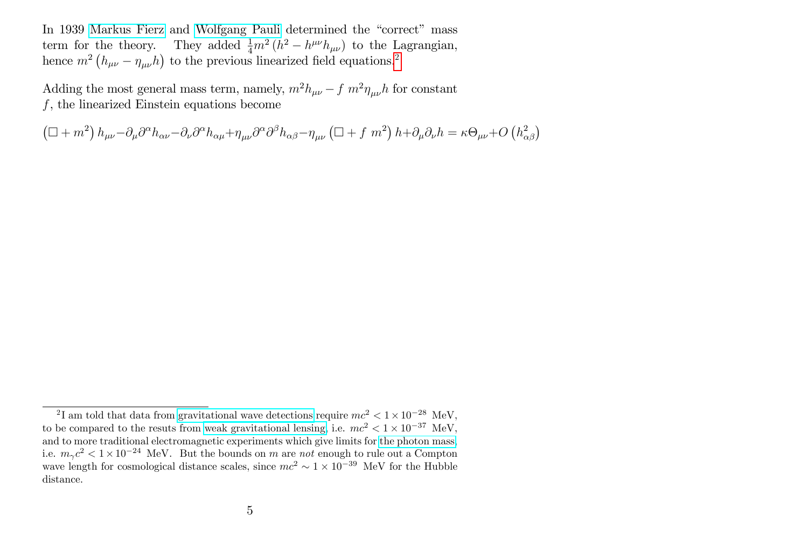In 1939 [Markus Fierz](https://en.wikipedia.org/wiki/Markus_Fierz) and [Wolfgang Pauli](https://en.wikipedia.org/wiki/Wolfgang_Pauli) determined the "correct" mass term for the theory. They added  $\frac{1}{4}m^2(h^2 - h^{\mu\nu}h_{\mu\nu})$  to the Lagrangian, hence  $m^2 (h_{\mu\nu} - \eta_{\mu\nu} h)$  $m^2 (h_{\mu\nu} - \eta_{\mu\nu} h)$  $m^2 (h_{\mu\nu} - \eta_{\mu\nu} h)$  to the previous linearized field equations.<sup>2</sup>

Adding the most general mass term, namely,  $m^2 h_{\mu\nu} - f m^2 \eta_{\mu\nu} h$  for constant f, the linearized Einstein equations become

 $\left(\Box+m^{2}\right)h_{\mu\nu}-\partial_{\mu}\partial^{\alpha}h_{\alpha\nu}-\partial_{\nu}\partial^{\alpha}h_{\alpha\mu}+\eta_{\mu\nu}\partial^{\alpha}\partial^{\beta}h_{\alpha\beta}-\eta_{\mu\nu}\left(\Box+f\ m^{2}\right)h+\partial_{\mu}\partial_{\nu}h=\kappa\Theta_{\mu\nu}+O\left(h_{\alpha\beta}^{2}\right)$ 

<span id="page-4-0"></span><sup>&</sup>lt;sup>2</sup>I am told that data from [gravitational wave detections](https://doi.org/10.1103/PhysRevLett.118.221101) require  $mc^2 < 1 \times 10^{-28}$  MeV, to be compared to the resuts from [weak gravitational lensing,](http://pdg.lbl.gov/2019/listings/rpp2019-list-graviton.pdf) i.e.  $mc^2 < 1 \times 10^{-37}$  MeV, and to more traditional electromagnetic experiments which give limits for [the photon mass,](http://pdg.lbl.gov/2019/listings/rpp2019-list-photon.pdf) i.e.  $m_{\gamma}c^2 < 1 \times 10^{-24}$  MeV. But the bounds on m are not enough to rule out a Compton wave length for cosmological distance scales, since  $mc^2 \sim 1 \times 10^{-39}$  MeV for the Hubble distance.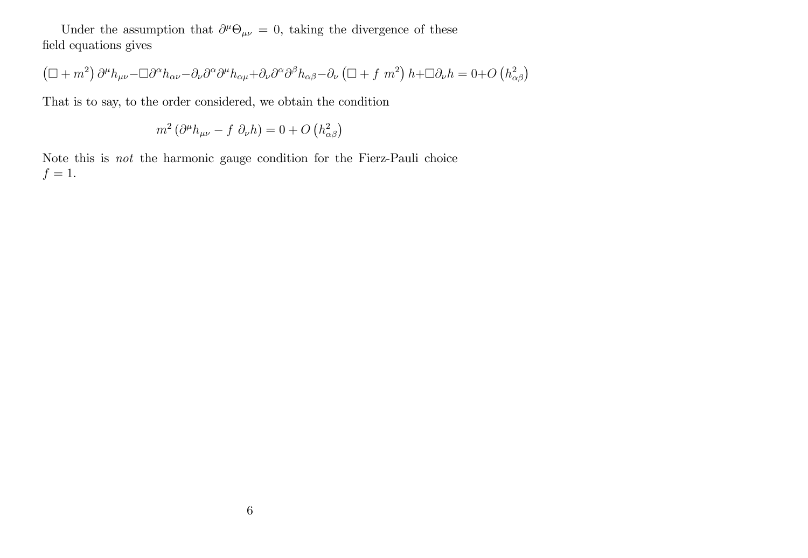Under the assumption that  $\partial^{\mu} \Theta_{\mu\nu} = 0$ , taking the divergence of these field equations gives

$$
\left(\Box + m^2\right)\partial^{\mu}h_{\mu\nu} - \Box \partial^{\alpha}h_{\alpha\nu} - \partial_{\nu}\partial^{\alpha}\partial^{\mu}h_{\alpha\mu} + \partial_{\nu}\partial^{\alpha}\partial^{\beta}h_{\alpha\beta} - \partial_{\nu}\left(\Box + f m^2\right)h + \Box \partial_{\nu}h = 0 + O\left(h_{\alpha\beta}^2\right)
$$

That is to say, to the order considered, we obtain the condition

$$
m^2 \left(\partial^\mu h_{\mu\nu} - f \partial_\nu h\right) = 0 + O\left(h_{\alpha\beta}^2\right)
$$

Note this is not the harmonic gauge condition for the Fierz-Pauli choice  $f=1.$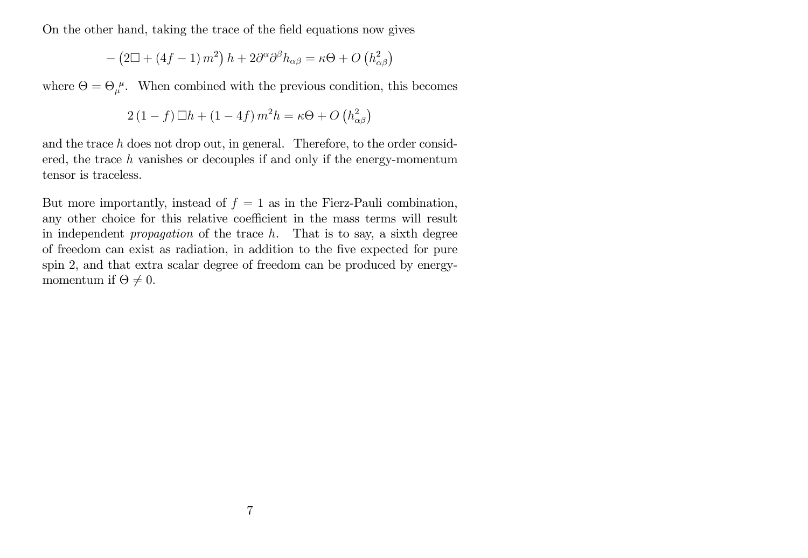On the other hand, taking the trace of the field equations now gives

$$
-\left(2\Box + \left(4f - 1\right)m^2\right)h + 2\partial^{\alpha}\partial^{\beta}h_{\alpha\beta} = \kappa\Theta + O\left(h_{\alpha\beta}^2\right)
$$

where  $\Theta = \Theta_{\mu}^{\mu}$ . When combined with the previous condition, this becomes

$$
2(1-f)\Box h + (1-4f) m^2 h = \kappa \Theta + O\left(h_{\alpha\beta}^2\right)
$$

and the trace h does not drop out, in general. Therefore, to the order considered, the trace  $h$  vanishes or decouples if and only if the energy-momentum tensor is traceless.

But more importantly, instead of  $f = 1$  as in the Fierz-Pauli combination, any other choice for this relative coefficient in the mass terms will result in independent *propagation* of the trace  $h$ . That is to say, a sixth degree of freedom can exist as radiation, in addition to the Öve expected for pure spin 2, and that extra scalar degree of freedom can be produced by energymomentum if  $\Theta \neq 0$ .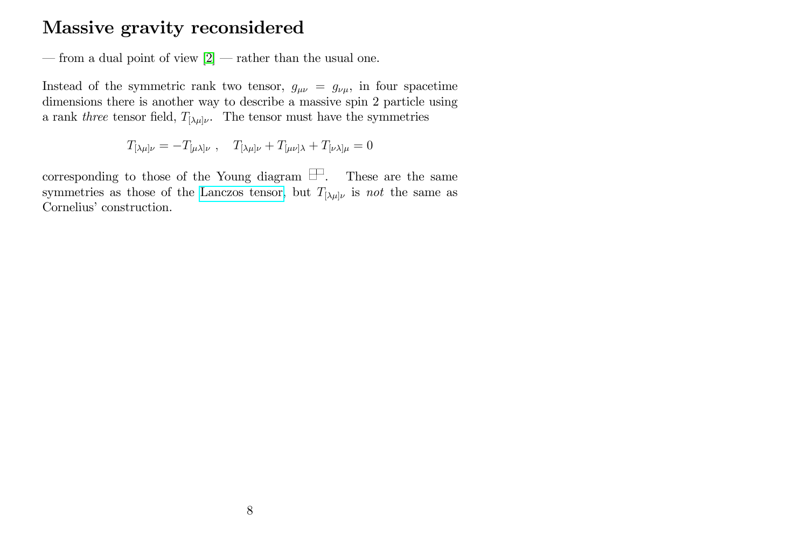### Massive gravity reconsidered

— from a dual point of view  $[2]$  — rather than the usual one.

Instead of the symmetric rank two tensor,  $g_{\mu\nu} = g_{\nu\mu}$ , in four spacetime dimensions there is another way to describe a massive spin 2 particle using a rank three tensor field,  $T_{[\lambda\mu]\nu}$ . The tensor must have the symmetries

$$
T_{[\lambda\mu]\nu}=-T_{[\mu\lambda]\nu}\ ,\quad T_{[\lambda\mu]\nu}+T_{[\mu\nu]\lambda}+T_{[\nu\lambda]\mu}=0
$$

corresponding to those of the Young diagram  $\Box$ . These are the same symmetries as those of the [Lanczos tensor,](https://en.wikipedia.org/wiki/Lanczos_tensor) but  $T_{[\lambda\mu]\nu}$  is not the same as Cornelius' construction.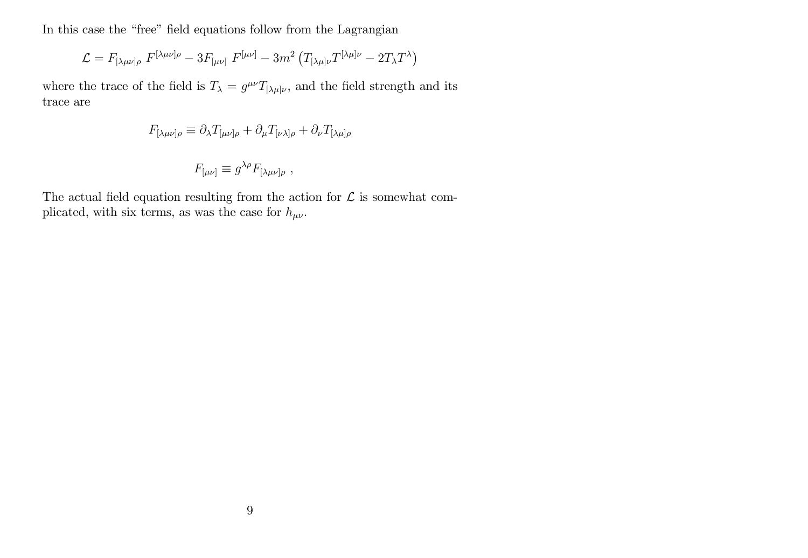In this case the "free" field equations follow from the Lagrangian

$$
\mathcal{L} = F_{\left[\lambda\mu\nu\right]\rho} F^{\left[\lambda\mu\nu\right]\rho} - 3F_{\left[\mu\nu\right]} F^{\left[\mu\nu\right]} - 3m^2 \left(T_{\left[\lambda\mu\right]\nu} T^{\left[\lambda\mu\right]\nu} - 2T_{\lambda} T^{\lambda}\right)
$$

where the trace of the field is  $T_{\lambda} = g^{\mu\nu} T_{[\lambda\mu]\nu}$ , and the field strength and its trace are

$$
F_{[\lambda\mu\nu]\rho} \equiv \partial_{\lambda} T_{[\mu\nu]\rho} + \partial_{\mu} T_{[\nu\lambda]\rho} + \partial_{\nu} T_{[\lambda\mu]\rho}
$$

$$
F_{[\mu\nu]} \equiv g^{\lambda\rho} F_{[\lambda\mu\nu]\rho} ,
$$

The actual field equation resulting from the action for  $\mathcal L$  is somewhat complicated, with six terms, as was the case for  $h_{\mu\nu}$ .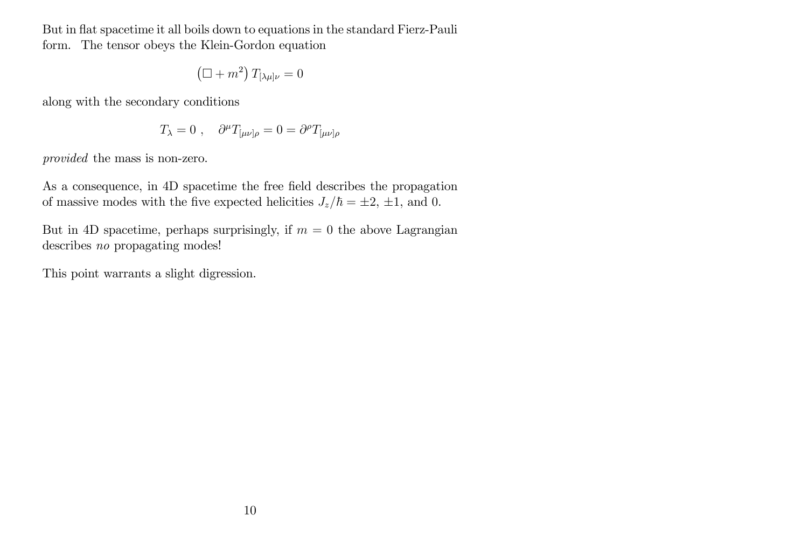But in flat spacetime it all boils down to equations in the standard Fierz-Pauli form. The tensor obeys the Klein-Gordon equation

$$
\left(\Box+m^2\right)T_{[\lambda\mu]\nu}=0
$$

along with the secondary conditions

$$
T_{\lambda} = 0 , \quad \partial^{\mu} T_{[\mu \nu] \rho} = 0 = \partial^{\rho} T_{[\mu \nu] \rho}
$$

provided the mass is non-zero.

As a consequence, in 4D spacetime the free field describes the propagation of massive modes with the five expected helicities  $J_z/\hbar = \pm 2, \pm 1$ , and 0.

But in 4D spacetime, perhaps surprisingly, if  $m = 0$  the above Lagrangian describes no propagating modes!

This point warrants a slight digression.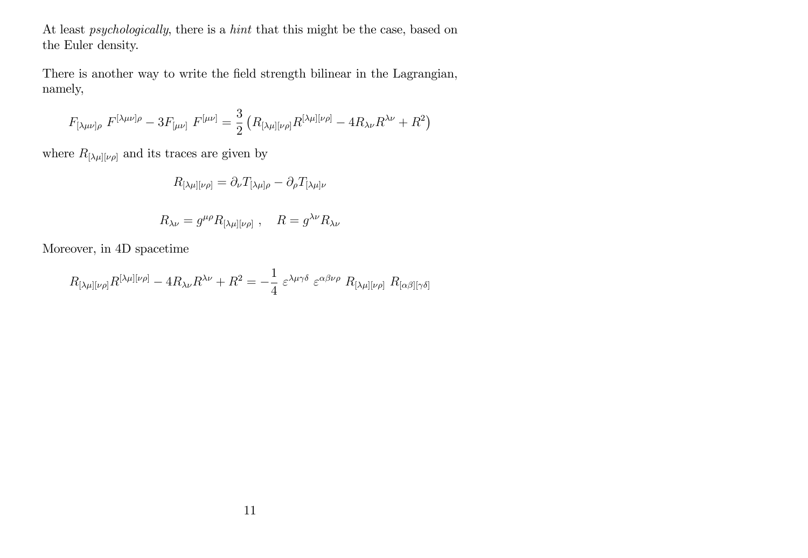At least psychologically, there is a hint that this might be the case, based on the Euler density.

There is another way to write the field strength bilinear in the Lagrangian, namely,

$$
F_{[\lambda\mu\nu]\rho} \ F^{[\lambda\mu\nu]\rho} - 3F_{[\mu\nu]} \ F^{[\mu\nu]} = \frac{3}{2} \left( R_{[\lambda\mu][\nu\rho]} R^{[\lambda\mu][\nu\rho]} - 4R_{\lambda\nu} R^{\lambda\nu} + R^2 \right)
$$

where  $R_{[\lambda\mu][\nu\rho]}$  and its traces are given by

$$
R_{[\lambda\mu][\nu\rho]} = \partial_{\nu} T_{[\lambda\mu]\rho} - \partial_{\rho} T_{[\lambda\mu]\nu}
$$

$$
R_{\lambda\nu} = g^{\mu\rho} R_{[\lambda\mu][\nu\rho]} \ , \quad R = g^{\lambda\nu} R_{\lambda\nu}
$$

Moreover, in 4D spacetime

$$
R_{[\lambda\mu][\nu\rho]}R^{[\lambda\mu][\nu\rho]} - 4R_{\lambda\nu}R^{\lambda\nu} + R^2 = -\frac{1}{4} \varepsilon^{\lambda\mu\gamma\delta} \varepsilon^{\alpha\beta\nu\rho} R_{[\lambda\mu][\nu\rho]} R_{[\alpha\beta][\gamma\delta]}
$$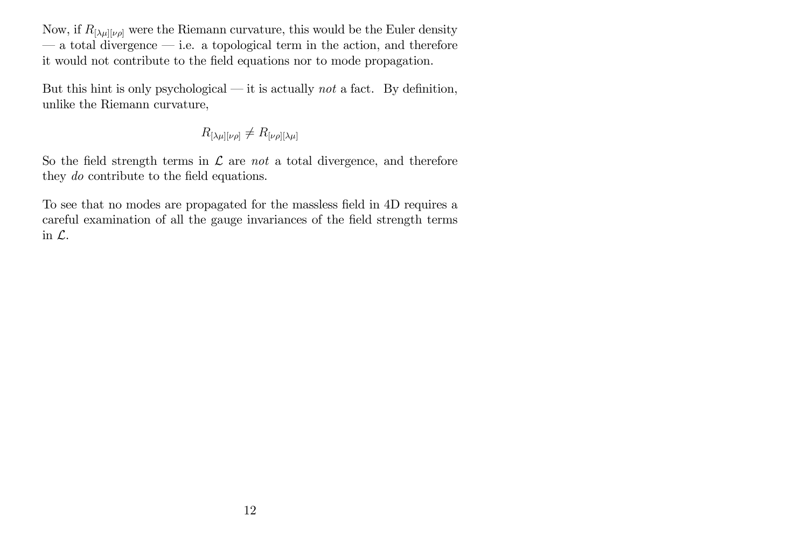Now, if  $R_{[\lambda\mu][\nu\rho]}$  were the Riemann curvature, this would be the Euler density  $\sim$  a total divergence  $\sim$  i.e. a topological term in the action, and therefore it would not contribute to the Öeld equations nor to mode propagation.

But this hint is only psychological  $\rightarrow$  it is actually not a fact. By definition, unlike the Riemann curvature,

$$
R_{[\lambda\mu][\nu\rho]}\neq R_{[\nu\rho][\lambda\mu]}
$$

So the field strength terms in  $\mathcal L$  are not a total divergence, and therefore they *do* contribute to the field equations.

To see that no modes are propagated for the massless field in 4D requires a careful examination of all the gauge invariances of the field strength terms in L.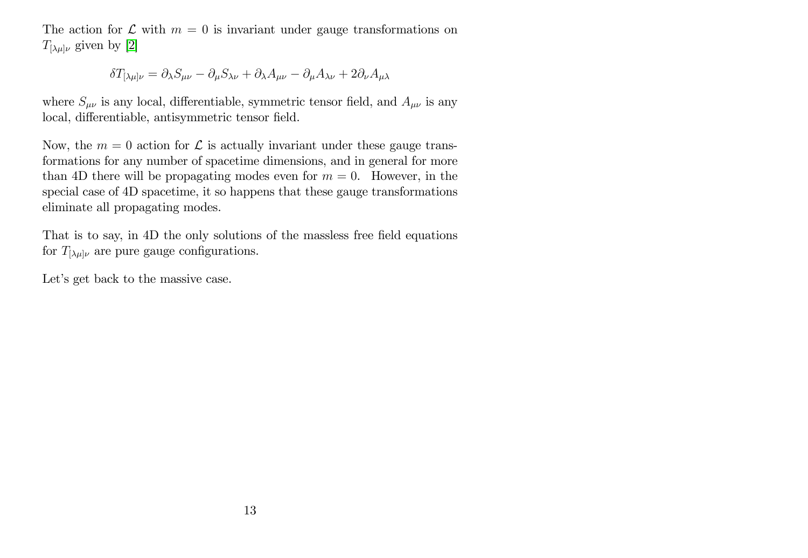The action for  $\mathcal L$  with  $m = 0$  is invariant under gauge transformations on  $T_{[\lambda\mu]\nu}$  given by [\[2\]](#page-25-1)

$$
\delta T_{[\lambda\mu]\nu} = \partial_{\lambda} S_{\mu\nu} - \partial_{\mu} S_{\lambda\nu} + \partial_{\lambda} A_{\mu\nu} - \partial_{\mu} A_{\lambda\nu} + 2 \partial_{\nu} A_{\mu\lambda}
$$

where  $S_{\mu\nu}$  is any local, differentiable, symmetric tensor field, and  $A_{\mu\nu}$  is any local, differentiable, antisymmetric tensor field.

Now, the  $m = 0$  action for  $\mathcal L$  is actually invariant under these gauge transformations for any number of spacetime dimensions, and in general for more than 4D there will be propagating modes even for  $m = 0$ . However, in the special case of 4D spacetime, it so happens that these gauge transformations eliminate all propagating modes.

That is to say, in 4D the only solutions of the massless free field equations for  $T_{[\lambda\mu]\nu}$  are pure gauge configurations.

Let's get back to the massive case.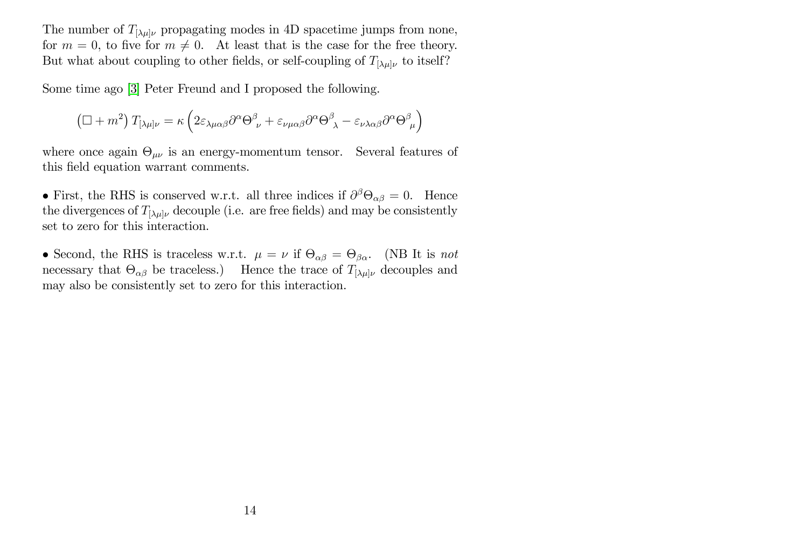The number of  $T_{[\lambda\mu]\nu}$  propagating modes in 4D spacetime jumps from none, for  $m = 0$ , to five for  $m \neq 0$ . At least that is the case for the free theory. But what about coupling to other fields, or self-coupling of  $T_{[\lambda\mu]\nu}$  to itself?

Some time ago [\[3\]](#page-25-2) Peter Freund and I proposed the following.

$$
\left(\Box+m^{2}\right)T_{[\lambda\mu]\nu}=\kappa\left(2\varepsilon_{\lambda\mu\alpha\beta}\partial^{\alpha}\Theta_{\ \nu}^{\beta}+\varepsilon_{\nu\mu\alpha\beta}\partial^{\alpha}\Theta_{\ \lambda}^{\beta}-\varepsilon_{\nu\lambda\alpha\beta}\partial^{\alpha}\Theta_{\ \mu}^{\beta}\right)
$$

where once again  $\Theta_{\mu\nu}$  is an energy-momentum tensor. Several features of this field equation warrant comments.

• First, the RHS is conserved w.r.t. all three indices if  $\partial^{\beta} \Theta_{\alpha\beta} = 0$ . Hence the divergences of  $T_{[\lambda\mu]\nu}$  decouple (i.e. are free fields) and may be consistently set to zero for this interaction.

• Second, the RHS is traceless w.r.t.  $\mu = \nu$  if  $\Theta_{\alpha\beta} = \Theta_{\beta\alpha}$ . (NB It is not necessary that  $\Theta_{\alpha\beta}$  be traceless.) Hence the trace of  $T_{[\lambda\mu]\nu}$  decouples and may also be consistently set to zero for this interaction.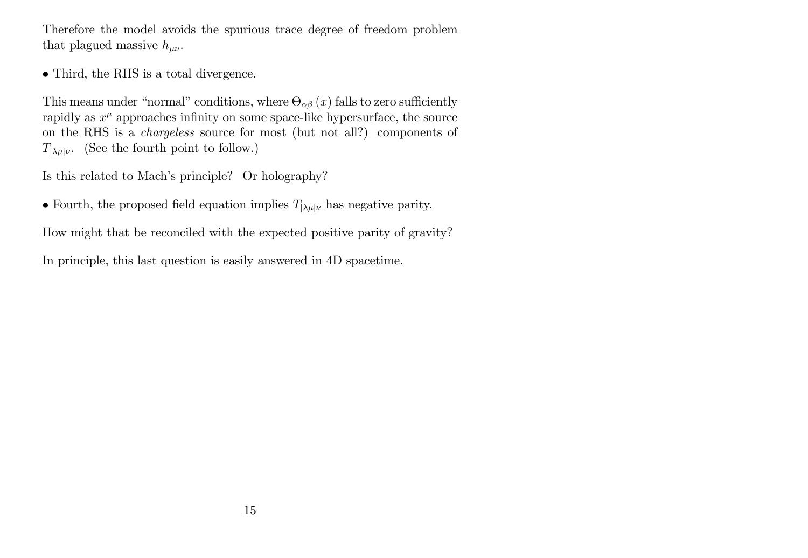Therefore the model avoids the spurious trace degree of freedom problem that plagued massive  $h_{\mu\nu}$ .

Third, the RHS is a total divergence.

This means under "normal" conditions, where  $\Theta_{\alpha\beta}(x)$  falls to zero sufficiently rapidly as  $x^{\mu}$  approaches infinity on some space-like hypersurface, the source on the RHS is a chargeless source for most (but not all?) components of  $T_{[\lambda\mu]\nu}$ . (See the fourth point to follow.)

Is this related to Mach's principle? Or holography?

• Fourth, the proposed field equation implies  $T_{[\lambda\mu]\nu}$  has negative parity.

How might that be reconciled with the expected positive parity of gravity?

In principle, this last question is easily answered in 4D spacetime.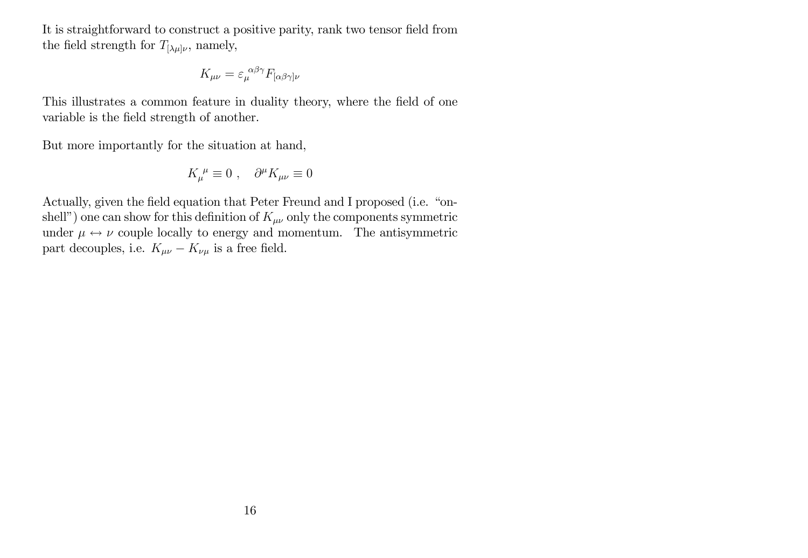It is straightforward to construct a positive parity, rank two tensor field from the field strength for  $T_{[\lambda\mu]\nu}$ , namely,

$$
K_{\mu\nu}=\varepsilon_{\mu}^{~\alpha\beta\gamma}F_{[\alpha\beta\gamma]\nu}
$$

This illustrates a common feature in duality theory, where the field of one variable is the field strength of another.

But more importantly for the situation at hand,

$$
K^{\ \mu}_{\mu} \equiv 0 \ , \quad \partial^{\mu} K_{\mu\nu} \equiv 0
$$

Actually, given the field equation that Peter Freund and I proposed (i.e. "onshell") one can show for this definition of  $K_{\mu\nu}$  only the components symmetric under  $\mu \leftrightarrow \nu$  couple locally to energy and momentum. The antisymmetric part decouples, i.e.  $K_{\mu\nu} - K_{\nu\mu}$  is a free field.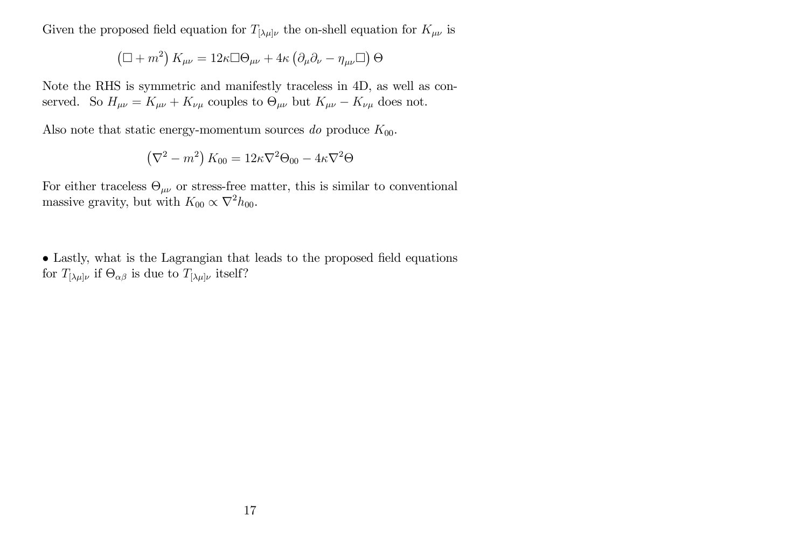Given the proposed field equation for  $T_{[\lambda\mu]\nu}$  the on-shell equation for  $K_{\mu\nu}$  is

$$
\left(\Box+m^{2}\right)K_{\mu\nu}=12\kappa\Box\Theta_{\mu\nu}+4\kappa\left(\partial_{\mu}\partial_{\nu}-\eta_{\mu\nu}\Box\right)\Theta
$$

Note the RHS is symmetric and manifestly traceless in 4D, as well as conserved. So  $H_{\mu\nu} = K_{\mu\nu} + K_{\nu\mu}$  couples to  $\Theta_{\mu\nu}$  but  $K_{\mu\nu} - K_{\nu\mu}$  does not.

Also note that static energy-momentum sources do produce  $K_{00}$ .

$$
\left(\nabla^2 - m^2\right) K_{00} = 12\kappa \nabla^2 \Theta_{00} - 4\kappa \nabla^2 \Theta
$$

For either traceless  $\Theta_{\mu\nu}$  or stress-free matter, this is similar to conventional massive gravity, but with  $K_{00} \propto \nabla^2 h_{00}$ .

• Lastly, what is the Lagrangian that leads to the proposed field equations for  $T_{\lbrack \lambda\mu \rbrack \nu}$  if  $\Theta_{\alpha\beta}$  is due to  $T_{\lbrack \lambda\mu \rbrack \nu}$  itself?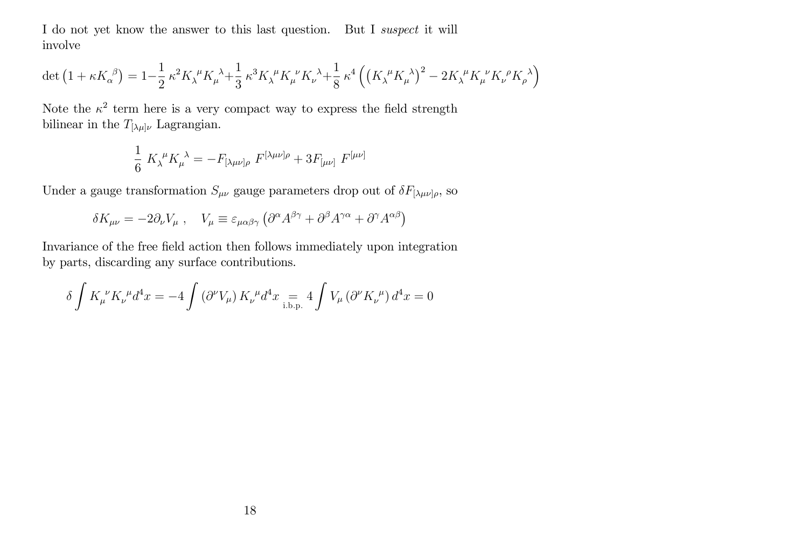I do not yet know the answer to this last question. But I suspect it will involve

$$
\det\left(1+\kappa K_{\alpha}^{\ \beta}\right)=1-\frac{1}{2}\,\kappa^2 K_{\lambda}^{\ \mu}K_{\mu}^{\ \lambda}+\frac{1}{3}\,\kappa^3 K_{\lambda}^{\ \mu}K_{\mu}^{\ \nu}K_{\nu}^{\ \lambda}+\frac{1}{8}\,\kappa^4\left(\left(K_{\lambda}^{\ \mu}K_{\mu}^{\ \lambda}\right)^2-2K_{\lambda}^{\ \mu}K_{\mu}^{\ \nu}K_{\nu}^{\ \rho}K_{\rho}^{\ \lambda}\right)
$$

Note the  $\kappa^2$  term here is a very compact way to express the field strength bilinear in the  $T_{[\lambda\mu]\nu}$  Lagrangian.

$$
\frac{1}{6} K_{\lambda}^{\ \mu} K_{\mu}^{\ \lambda} = -F_{[\lambda\mu\nu]\rho} F^{[\lambda\mu\nu]\rho} + 3F_{[\mu\nu]} F^{[\mu\nu]}
$$

Under a gauge transformation  $S_{\mu\nu}$  gauge parameters drop out of  $\delta F_{[\lambda\mu\nu]\rho}$ , so

$$
\delta K_{\mu\nu} = -2\partial_{\nu}V_{\mu} , \quad V_{\mu} \equiv \varepsilon_{\mu\alpha\beta\gamma} \left( \partial^{\alpha} A^{\beta\gamma} + \partial^{\beta} A^{\gamma\alpha} + \partial^{\gamma} A^{\alpha\beta} \right)
$$

Invariance of the free Öeld action then follows immediately upon integration by parts, discarding any surface contributions.

$$
\delta \int K_\mu^{\ \nu} K_\nu^{\ \mu} d^4x = -4 \int \left( \partial^\nu V_\mu \right) K_\nu^{\ \mu} d^4x \underset{\text{i.b.p.}}{=} 4 \int V_\mu \left( \partial^\nu K_\nu^{\ \mu} \right) d^4x = 0
$$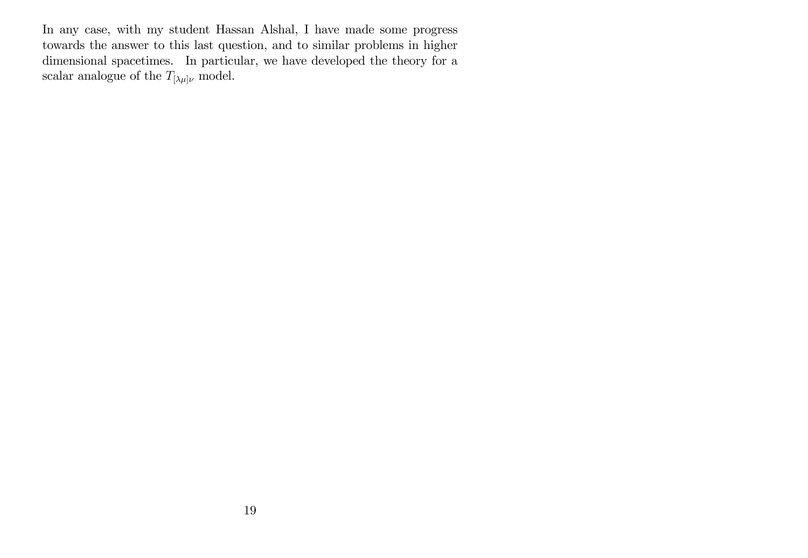In any case, with my student Hassan Alshal, I have made some progress towards the answer to this last question, and to similar problems in higher dimensional spacetimes. In particular, we have developed the theory for a scalar analogue of the  $T_{[\lambda\mu]\nu}$  model.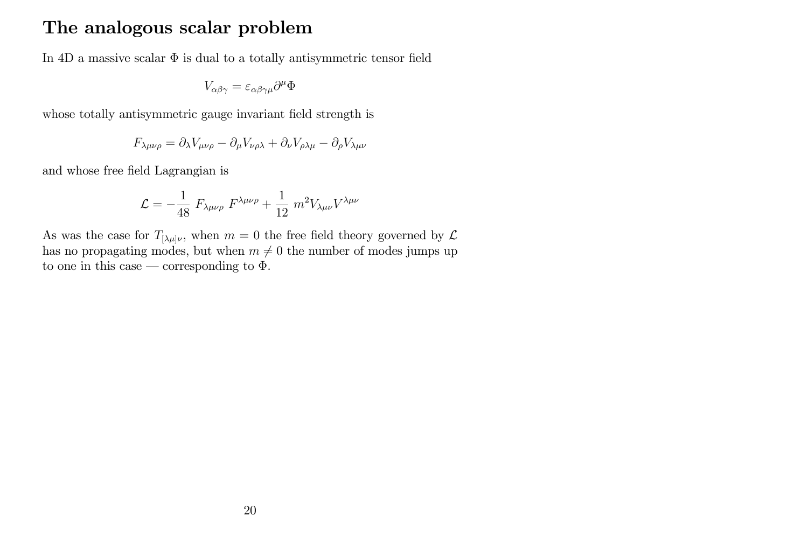#### The analogous scalar problem

In 4D a massive scalar  $\Phi$  is dual to a totally antisymmetric tensor field

$$
V_{\alpha\beta\gamma} = \varepsilon_{\alpha\beta\gamma\mu}\partial^{\mu}\Phi
$$

whose totally antisymmetric gauge invariant field strength is

$$
F_{\lambda\mu\nu\rho} = \partial_{\lambda} V_{\mu\nu\rho} - \partial_{\mu} V_{\nu\rho\lambda} + \partial_{\nu} V_{\rho\lambda\mu} - \partial_{\rho} V_{\lambda\mu\nu}
$$

and whose free Öeld Lagrangian is

$$
\mathcal{L} = -\frac{1}{48} F_{\lambda\mu\nu\rho} F^{\lambda\mu\nu\rho} + \frac{1}{12} m^2 V_{\lambda\mu\nu} V^{\lambda\mu\nu}
$$

As was the case for  $T_{\lbrack \lambda\mu \rbrack \nu}$ , when  $m=0$  the free field theory governed by  $\mathcal L$ has no propagating modes, but when  $m \neq 0$  the number of modes jumps up to one in this case – corresponding to  $\Phi$ .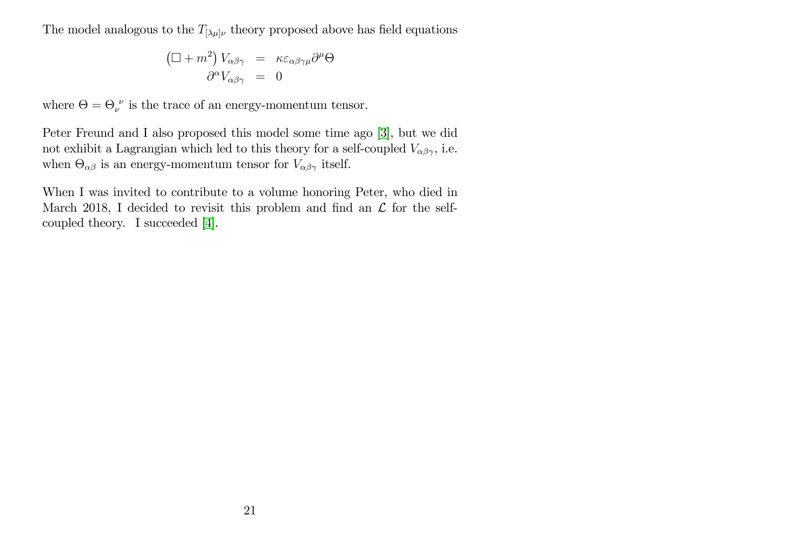The model analogous to the  $T_{\lbrack \lambda\mu \rbrack \nu}$  theory proposed above has field equations

$$
\left(\Box + m^2\right) V_{\alpha\beta\gamma} = \kappa \varepsilon_{\alpha\beta\gamma\mu} \partial^\mu \Theta
$$

$$
\partial^\alpha V_{\alpha\beta\gamma} = 0
$$

where  $\Theta = \Theta_{\nu}^{\ \nu}$  is the trace of an energy-momentum tensor.

Peter Freund and I also proposed this model some time ago [\[3\]](#page-25-2), but we did not exhibit a Lagrangian which led to this theory for a self-coupled  $V_{\alpha\beta\gamma}$ , i.e. when  $\Theta_{\alpha\beta}$  is an energy-momentum tensor for  $V_{\alpha\beta\gamma}$  itself.

When I was invited to contribute to a volume honoring Peter, who died in March 2018, I decided to revisit this problem and find an  $\mathcal L$  for the selfcoupled theory. I succeeded [\[4\]](#page-25-3).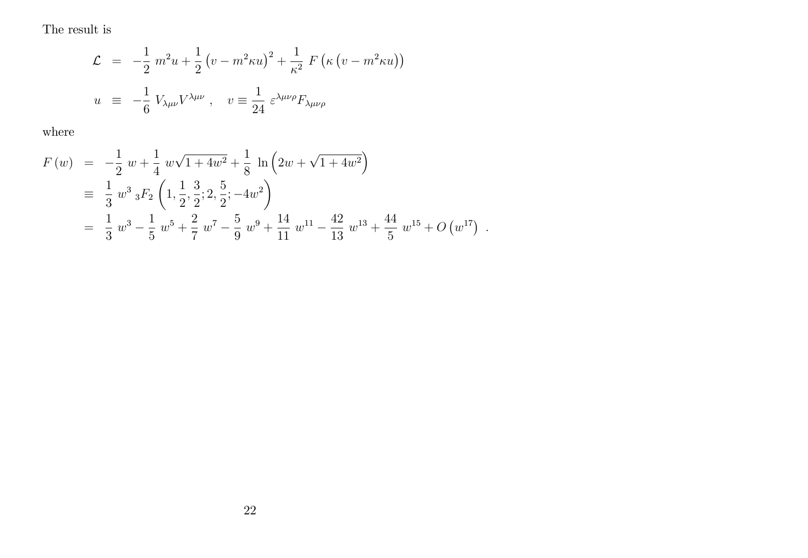The result is

$$
\mathcal{L} = -\frac{1}{2} m^2 u + \frac{1}{2} (v - m^2 \kappa u)^2 + \frac{1}{\kappa^2} F(\kappa (v - m^2 \kappa u))
$$
  

$$
u \equiv -\frac{1}{6} V_{\lambda \mu \nu} V^{\lambda \mu \nu}, \quad v \equiv \frac{1}{24} \varepsilon^{\lambda \mu \nu \rho} F_{\lambda \mu \nu \rho}
$$

where

$$
F(w) = -\frac{1}{2} w + \frac{1}{4} w \sqrt{1 + 4w^2} + \frac{1}{8} \ln \left( 2w + \sqrt{1 + 4w^2} \right)
$$
  
\n
$$
\equiv \frac{1}{3} w^3 {}_3F_2 \left( 1, \frac{1}{2}, \frac{3}{2}; 2, \frac{5}{2}; -4w^2 \right)
$$
  
\n
$$
= \frac{1}{3} w^3 - \frac{1}{5} w^5 + \frac{2}{7} w^7 - \frac{5}{9} w^9 + \frac{14}{11} w^{11} - \frac{42}{13} w^{13} + \frac{44}{5} w^{15} + O(w^{17}) .
$$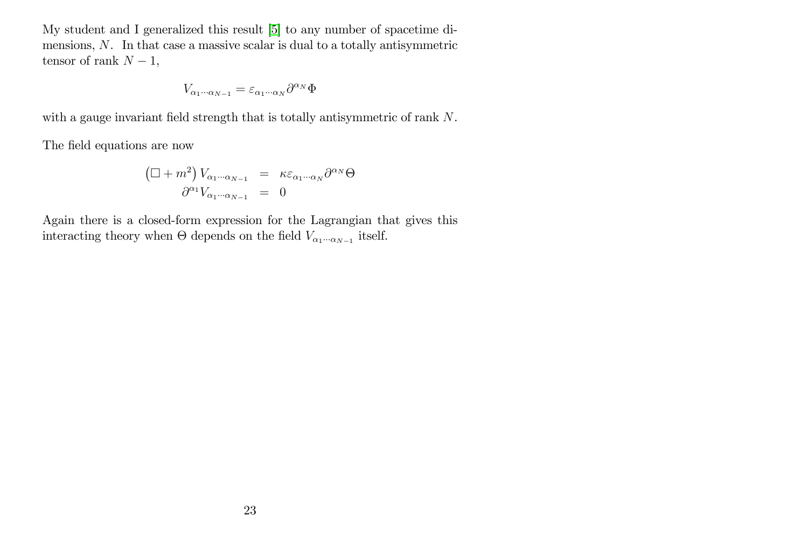My student and I generalized this result [\[5\]](#page-25-4) to any number of spacetime dimensions, N. In that case a massive scalar is dual to a totally antisymmetric tensor of rank  $N - 1$ ,

$$
V_{\alpha_1\cdots\alpha_{N-1}}=\varepsilon_{\alpha_1\cdots\alpha_N}\partial^{\alpha_N}\Phi
$$

with a gauge invariant field strength that is totally antisymmetric of rank  $N$ .

The field equations are now

$$
\left(\Box + m^2\right) V_{\alpha_1 \cdots \alpha_{N-1}} = \kappa \varepsilon_{\alpha_1 \cdots \alpha_N} \partial^{\alpha_N} \Theta
$$

$$
\partial^{\alpha_1} V_{\alpha_1 \cdots \alpha_{N-1}} = 0
$$

Again there is a closed-form expression for the Lagrangian that gives this interacting theory when  $\Theta$  depends on the field  $V_{\alpha_1\cdots\alpha_{N-1}}$  itself.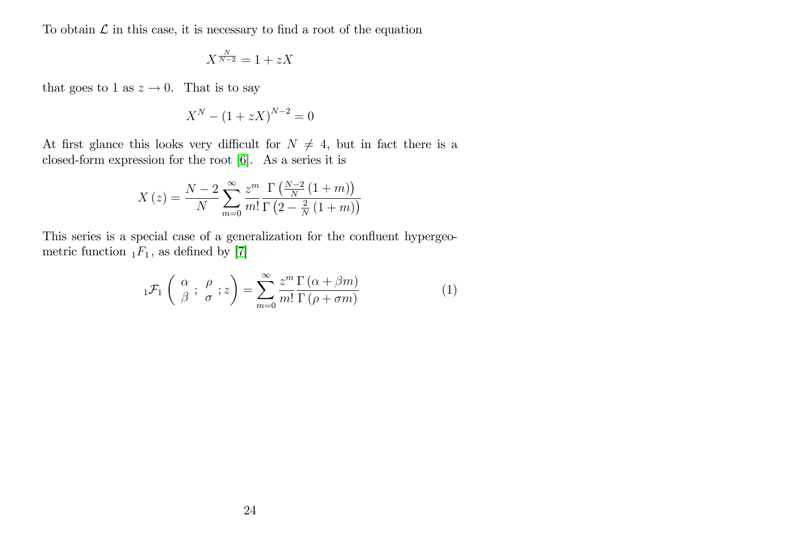To obtain  $\mathcal L$  in this case, it is necessary to find a root of the equation

$$
X^{\frac{N}{N-2}} = 1 + zX
$$

that goes to 1 as  $z \to 0$ . That is to say

$$
X^N - (1 + zX)^{N-2} = 0
$$

At first glance this looks very difficult for  $N \neq 4$ , but in fact there is a closed-form expression for the root [\[6\]](#page-25-5). As a series it is

$$
X(z) = \frac{N-2}{N} \sum_{m=0}^{\infty} \frac{z^m}{m!} \frac{\Gamma(\frac{N-2}{N}(1+m))}{\Gamma(2-\frac{2}{N}(1+m))}
$$

This series is a special case of a generalization for the confluent hypergeometric function  $_1F_1$ , as defined by [\[7\]](#page-25-6)

$$
{}_{1}\mathcal{F}_{1}\left(\begin{array}{c} \alpha \\ \beta \end{array}; \frac{\rho}{\sigma}; z\right) = \sum_{m=0}^{\infty} \frac{z^{m}}{m!} \frac{\Gamma\left(\alpha + \beta m\right)}{\Gamma\left(\rho + \sigma m\right)} \tag{1}
$$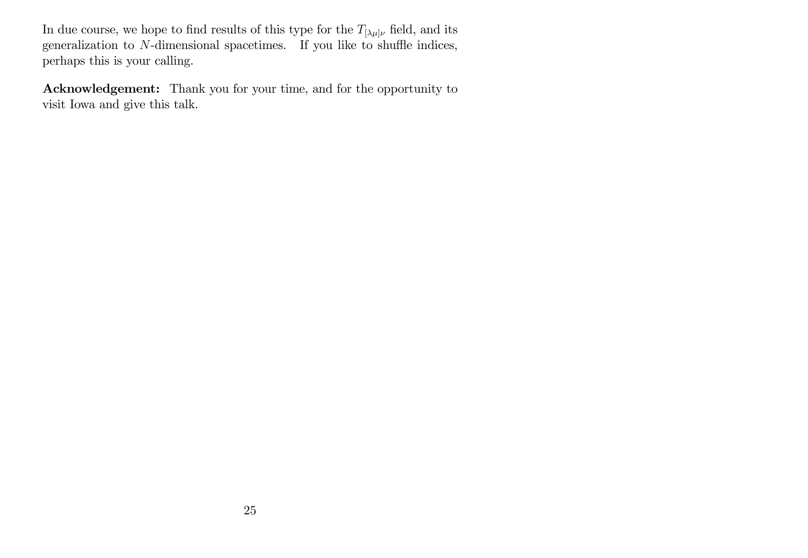In due course, we hope to find results of this type for the  $T_{[\lambda\mu]\nu}$  field, and its generalization to  $N$ -dimensional spacetimes. If you like to shuffle indices, perhaps this is your calling.

Acknowledgement: Thank you for your time, and for the opportunity to visit Iowa and give this talk.